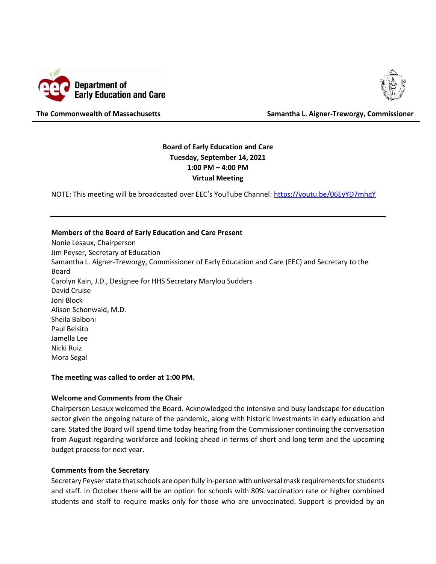



**The Commonwealth of Massachusetts Samantha L. Aigner-Treworgy, Commissioner**

# **Board of Early Education and Care Tuesday, September 14, 2021 1:00 PM – 4:00 PM Virtual Meeting**

NOTE: This meeting will be broadcasted over EEC's YouTube Channel: [https://youtu.be/06EyYD7mhgY](https://urldefense.proofpoint.com/v2/url?u=https-3A__youtu.be_06EyYD7mhgY&d=DwMFaQ&c=lDF7oMaPKXpkYvev9V-fVahWL0QWnGCCAfCDz1Bns_w&r=9hEWMamhdtzAvOVIcHQDiDHLnXYf_8SuJ-544cO9-lA&m=Wim7Gxwnr_tZlYy4L8fwDYI8lVQ4C_iwpqZT5pSusGE&s=SYCcrnfspCOOljtZP2N0qM1iVXGktmbJV4N1xnMBmuk&e=)

#### **Members of the Board of Early Education and Care Present**

Nonie Lesaux, Chairperson Jim Peyser, Secretary of Education Samantha L. Aigner-Treworgy, Commissioner of Early Education and Care (EEC) and Secretary to the Board Carolyn Kain, J.D., Designee for HHS Secretary Marylou Sudders David Cruise Joni Block Alison Schonwald, M.D. Sheila Balboni Paul Belsito Jamella Lee Nicki Ruiz Mora Segal

**The meeting was called to order at 1:00 PM.**

#### **Welcome and Comments from the Chair**

Chairperson Lesaux welcomed the Board. Acknowledged the intensive and busy landscape for education sector given the ongoing nature of the pandemic, along with historic investments in early education and care. Stated the Board will spend time today hearing from the Commissioner continuing the conversation from August regarding workforce and looking ahead in terms of short and long term and the upcoming budget process for next year.

#### **Comments from the Secretary**

Secretary Peyser state that schools are open fully in-person with universal mask requirements for students and staff. In October there will be an option for schools with 80% vaccination rate or higher combined students and staff to require masks only for those who are unvaccinated. Support is provided by an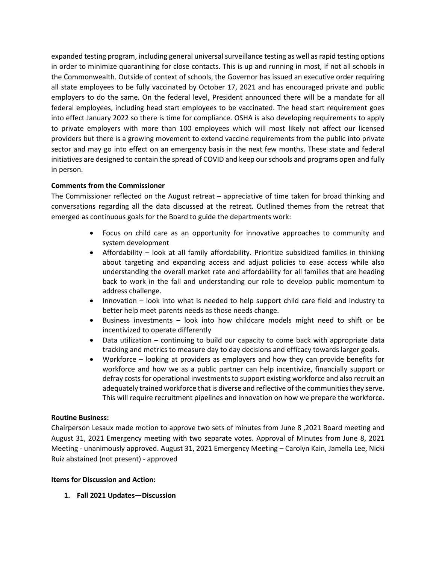expanded testing program, including general universal surveillance testing as well as rapid testing options in order to minimize quarantining for close contacts. This is up and running in most, if not all schools in the Commonwealth. Outside of context of schools, the Governor has issued an executive order requiring all state employees to be fully vaccinated by October 17, 2021 and has encouraged private and public employers to do the same. On the federal level, President announced there will be a mandate for all federal employees, including head start employees to be vaccinated. The head start requirement goes into effect January 2022 so there is time for compliance. OSHA is also developing requirements to apply to private employers with more than 100 employees which will most likely not affect our licensed providers but there is a growing movement to extend vaccine requirements from the public into private sector and may go into effect on an emergency basis in the next few months. These state and federal initiatives are designed to contain the spread of COVID and keep our schools and programs open and fully in person.

## **Comments from the Commissioner**

The Commissioner reflected on the August retreat – appreciative of time taken for broad thinking and conversations regarding all the data discussed at the retreat. Outlined themes from the retreat that emerged as continuous goals for the Board to guide the departments work:

- Focus on child care as an opportunity for innovative approaches to community and system development
- Affordability look at all family affordability. Prioritize subsidized families in thinking about targeting and expanding access and adjust policies to ease access while also understanding the overall market rate and affordability for all families that are heading back to work in the fall and understanding our role to develop public momentum to address challenge.
- Innovation look into what is needed to help support child care field and industry to better help meet parents needs as those needs change.
- Business investments look into how childcare models might need to shift or be incentivized to operate differently
- Data utilization continuing to build our capacity to come back with appropriate data tracking and metrics to measure day to day decisions and efficacy towards larger goals.
- Workforce looking at providers as employers and how they can provide benefits for workforce and how we as a public partner can help incentivize, financially support or defray costs for operational investments to support existing workforce and also recruit an adequately trained workforce that is diverse and reflective of the communities they serve. This will require recruitment pipelines and innovation on how we prepare the workforce.

### **Routine Business:**

Chairperson Lesaux made motion to approve two sets of minutes from June 8 ,2021 Board meeting and August 31, 2021 Emergency meeting with two separate votes. Approval of Minutes from June 8, 2021 Meeting - unanimously approved. August 31, 2021 Emergency Meeting – Carolyn Kain, Jamella Lee, Nicki Ruiz abstained (not present) - approved

### **Items for Discussion and Action:**

**1. Fall 2021 Updates—Discussion**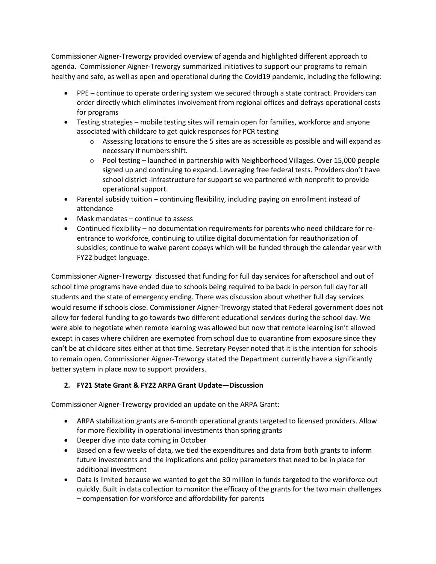Commissioner Aigner-Treworgy provided overview of agenda and highlighted different approach to agenda. Commissioner Aigner-Treworgy summarized initiatives to support our programs to remain healthy and safe, as well as open and operational during the Covid19 pandemic, including the following:

- PPE continue to operate ordering system we secured through a state contract. Providers can order directly which eliminates involvement from regional offices and defrays operational costs for programs
- Testing strategies mobile testing sites will remain open for families, workforce and anyone associated with childcare to get quick responses for PCR testing
	- $\circ$  Assessing locations to ensure the 5 sites are as accessible as possible and will expand as necessary if numbers shift.
	- o Pool testing launched in partnership with Neighborhood Villages. Over 15,000 people signed up and continuing to expand. Leveraging free federal tests. Providers don't have school district -infrastructure for support so we partnered with nonprofit to provide operational support.
- Parental subsidy tuition continuing flexibility, including paying on enrollment instead of attendance
- Mask mandates continue to assess
- Continued flexibility no documentation requirements for parents who need childcare for reentrance to workforce, continuing to utilize digital documentation for reauthorization of subsidies; continue to waive parent copays which will be funded through the calendar year with FY22 budget language.

Commissioner Aigner-Treworgy discussed that funding for full day services for afterschool and out of school time programs have ended due to schools being required to be back in person full day for all students and the state of emergency ending. There was discussion about whether full day services would resume if schools close. Commissioner Aigner-Treworgy stated that Federal government does not allow for federal funding to go towards two different educational services during the school day. We were able to negotiate when remote learning was allowed but now that remote learning isn't allowed except in cases where children are exempted from school due to quarantine from exposure since they can't be at childcare sites either at that time. Secretary Peyser noted that it is the intention for schools to remain open. Commissioner Aigner-Treworgy stated the Department currently have a significantly better system in place now to support providers.

## **2. FY21 State Grant & FY22 ARPA Grant Update—Discussion**

Commissioner Aigner-Treworgy provided an update on the ARPA Grant:

- ARPA stabilization grants are 6-month operational grants targeted to licensed providers. Allow for more flexibility in operational investments than spring grants
- Deeper dive into data coming in October
- Based on a few weeks of data, we tied the expenditures and data from both grants to inform future investments and the implications and policy parameters that need to be in place for additional investment
- Data is limited because we wanted to get the 30 million in funds targeted to the workforce out quickly. Built in data collection to monitor the efficacy of the grants for the two main challenges – compensation for workforce and affordability for parents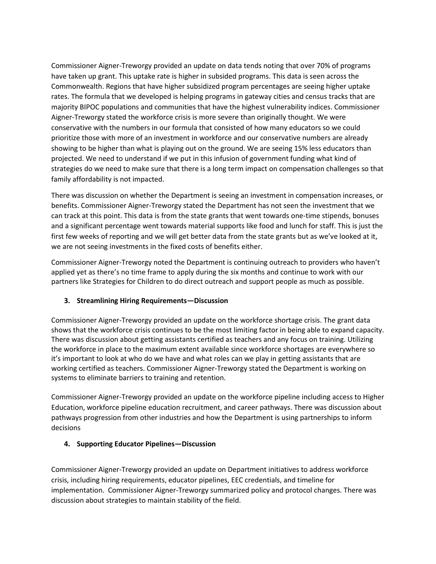Commissioner Aigner-Treworgy provided an update on data tends noting that over 70% of programs have taken up grant. This uptake rate is higher in subsided programs. This data is seen across the Commonwealth. Regions that have higher subsidized program percentages are seeing higher uptake rates. The formula that we developed is helping programs in gateway cities and census tracks that are majority BIPOC populations and communities that have the highest vulnerability indices. Commissioner Aigner-Treworgy stated the workforce crisis is more severe than originally thought. We were conservative with the numbers in our formula that consisted of how many educators so we could prioritize those with more of an investment in workforce and our conservative numbers are already showing to be higher than what is playing out on the ground. We are seeing 15% less educators than projected. We need to understand if we put in this infusion of government funding what kind of strategies do we need to make sure that there is a long term impact on compensation challenges so that family affordability is not impacted.

There was discussion on whether the Department is seeing an investment in compensation increases, or benefits. Commissioner Aigner-Treworgy stated the Department has not seen the investment that we can track at this point. This data is from the state grants that went towards one-time stipends, bonuses and a significant percentage went towards material supports like food and lunch for staff. This is just the first few weeks of reporting and we will get better data from the state grants but as we've looked at it, we are not seeing investments in the fixed costs of benefits either.

Commissioner Aigner-Treworgy noted the Department is continuing outreach to providers who haven't applied yet as there's no time frame to apply during the six months and continue to work with our partners like Strategies for Children to do direct outreach and support people as much as possible.

## **3. Streamlining Hiring Requirements—Discussion**

Commissioner Aigner-Treworgy provided an update on the workforce shortage crisis. The grant data shows that the workforce crisis continues to be the most limiting factor in being able to expand capacity. There was discussion about getting assistants certified as teachers and any focus on training. Utilizing the workforce in place to the maximum extent available since workforce shortages are everywhere so it's important to look at who do we have and what roles can we play in getting assistants that are working certified as teachers. Commissioner Aigner-Treworgy stated the Department is working on systems to eliminate barriers to training and retention.

Commissioner Aigner-Treworgy provided an update on the workforce pipeline including access to Higher Education, workforce pipeline education recruitment, and career pathways. There was discussion about pathways progression from other industries and how the Department is using partnerships to inform decisions

## **4. Supporting Educator Pipelines—Discussion**

Commissioner Aigner-Treworgy provided an update on Department initiatives to address workforce crisis, including hiring requirements, educator pipelines, EEC credentials, and timeline for implementation. Commissioner Aigner-Treworgy summarized policy and protocol changes. There was discussion about strategies to maintain stability of the field.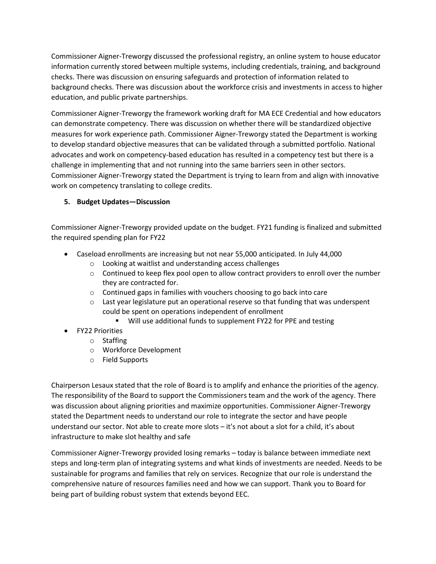Commissioner Aigner-Treworgy discussed the professional registry, an online system to house educator information currently stored between multiple systems, including credentials, training, and background checks. There was discussion on ensuring safeguards and protection of information related to background checks. There was discussion about the workforce crisis and investments in access to higher education, and public private partnerships.

Commissioner Aigner-Treworgy the framework working draft for MA ECE Credential and how educators can demonstrate competency. There was discussion on whether there will be standardized objective measures for work experience path. Commissioner Aigner-Treworgy stated the Department is working to develop standard objective measures that can be validated through a submitted portfolio. National advocates and work on competency-based education has resulted in a competency test but there is a challenge in implementing that and not running into the same barriers seen in other sectors. Commissioner Aigner-Treworgy stated the Department is trying to learn from and align with innovative work on competency translating to college credits.

## **5. Budget Updates—Discussion**

Commissioner Aigner-Treworgy provided update on the budget. FY21 funding is finalized and submitted the required spending plan for FY22

- Caseload enrollments are increasing but not near 55,000 anticipated. In July 44,000
	- o Looking at waitlist and understanding access challenges
	- $\circ$  Continued to keep flex pool open to allow contract providers to enroll over the number they are contracted for.
	- o Continued gaps in families with vouchers choosing to go back into care
	- $\circ$  Last year legislature put an operational reserve so that funding that was underspent could be spent on operations independent of enrollment
		- Will use additional funds to supplement FY22 for PPE and testing
- FY22 Priorities
	- o Staffing
	- o Workforce Development
	- o Field Supports

Chairperson Lesaux stated that the role of Board is to amplify and enhance the priorities of the agency. The responsibility of the Board to support the Commissioners team and the work of the agency. There was discussion about aligning priorities and maximize opportunities. Commissioner Aigner-Treworgy stated the Department needs to understand our role to integrate the sector and have people understand our sector. Not able to create more slots – it's not about a slot for a child, it's about infrastructure to make slot healthy and safe

Commissioner Aigner-Treworgy provided losing remarks – today is balance between immediate next steps and long-term plan of integrating systems and what kinds of investments are needed. Needs to be sustainable for programs and families that rely on services. Recognize that our role is understand the comprehensive nature of resources families need and how we can support. Thank you to Board for being part of building robust system that extends beyond EEC.